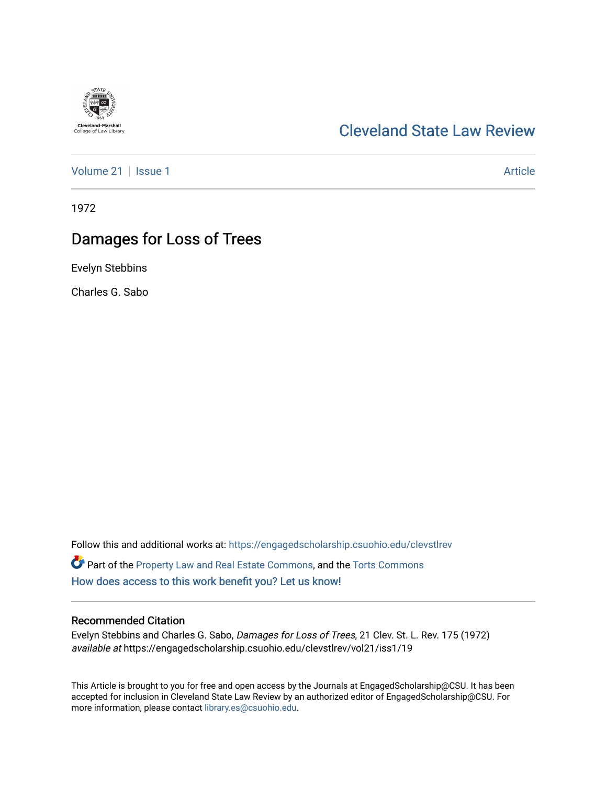## [Cleveland State Law Review](https://engagedscholarship.csuohio.edu/clevstlrev)

[Volume 21](https://engagedscholarship.csuohio.edu/clevstlrev/vol21) | [Issue 1](https://engagedscholarship.csuohio.edu/clevstlrev/vol21/iss1) Article

1972

# Damages for Loss of Trees

Evelyn Stebbins

Charles G. Sabo

Follow this and additional works at: [https://engagedscholarship.csuohio.edu/clevstlrev](https://engagedscholarship.csuohio.edu/clevstlrev?utm_source=engagedscholarship.csuohio.edu%2Fclevstlrev%2Fvol21%2Fiss1%2F19&utm_medium=PDF&utm_campaign=PDFCoverPages) Part of the [Property Law and Real Estate Commons,](http://network.bepress.com/hgg/discipline/897?utm_source=engagedscholarship.csuohio.edu%2Fclevstlrev%2Fvol21%2Fiss1%2F19&utm_medium=PDF&utm_campaign=PDFCoverPages) and the [Torts Commons](http://network.bepress.com/hgg/discipline/913?utm_source=engagedscholarship.csuohio.edu%2Fclevstlrev%2Fvol21%2Fiss1%2F19&utm_medium=PDF&utm_campaign=PDFCoverPages)  [How does access to this work benefit you? Let us know!](http://library.csuohio.edu/engaged/)

### Recommended Citation

Evelyn Stebbins and Charles G. Sabo, Damages for Loss of Trees, 21 Clev. St. L. Rev. 175 (1972) available at https://engagedscholarship.csuohio.edu/clevstlrev/vol21/iss1/19

This Article is brought to you for free and open access by the Journals at EngagedScholarship@CSU. It has been accepted for inclusion in Cleveland State Law Review by an authorized editor of EngagedScholarship@CSU. For more information, please contact [library.es@csuohio.edu](mailto:library.es@csuohio.edu).

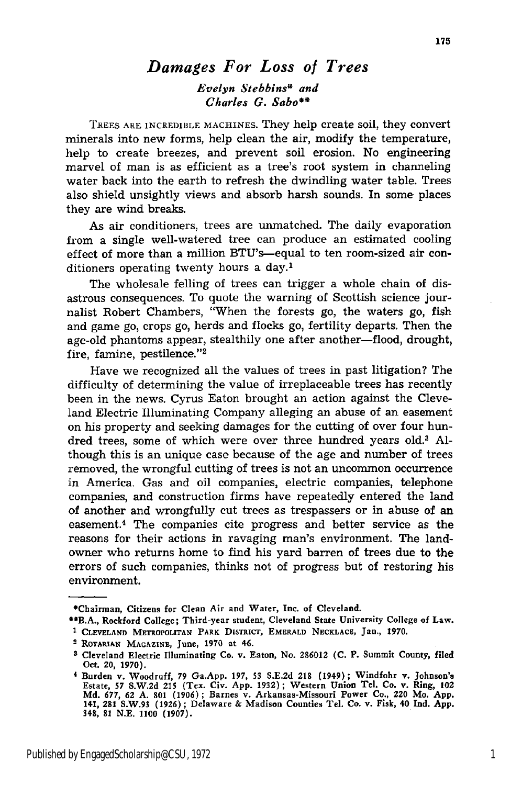### *Damages For Loss of Trees*

*Evelyn Stebbins\* and Charles G. Sabo"*

TREES ARE INCREDIBLE MACHINES. They help create soil, they convert minerals into new forms, help clean the air, modify the temperature, help to create breezes, and prevent soil erosion. No engineering marvel of man is as efficient as a tree's root system in channeling water back into the earth to refresh the dwindling water table. Trees also shield unsightly views and absorb harsh sounds. In some places they are wind breaks.

As air conditioners, trees are unmatched. The daily evaporation from a single well-watered tree can produce an estimated cooling effect of more than a million BTU's-equal to ten room-sized air conditioners operating twenty hours a day.<sup>1</sup>

The wholesale felling of trees can trigger a whole chain of disastrous consequences. To quote the warning of Scottish science journalist Robert Chambers, "When the forests go, the waters go, fish and game go, crops go, herds and flocks go, fertility departs. Then the age-old phantoms appear, stealthily one after another-flood, drought, fire, famine, pestilence."<sup>2</sup>

Have we recognized all the values of trees in past litigation? The difficulty of determining the value of irreplaceable trees has recently been in the news. Cyrus Eaton brought an action against the Cleveland Electric Illuminating Company alleging an abuse of an easement on his property and seeking damages for the cutting of over four hundred trees, some of which were over three hundred years old.<sup>3</sup> Although this is an unique case because of the age and number of trees removed, the wrongful cutting of trees is not an uncommon occurrence in America. Gas and oil companies, electric companies, telephone companies, and construction firms have repeatedly entered the land of another and wrongfully cut trees as trespassers or in abuse of an easement.<sup>4</sup> The companies cite progress and better service as the reasons for their actions in ravaging man's environment. The landowner who returns home to find his yard barren of trees due to the errors of such companies, thinks not of progress but of restoring his environment.

**<sup>\*</sup>Chairman, Citizens for Clean Air and Water, Inc. of Cleveland.**

<sup>\*\*</sup>B.A., **Rockford College;** Third-year student, **Cleveland State University College of Law.**

<sup>&</sup>lt;sup>1</sup> CLEVELAND METROPOLITAN PARK DISTRICT, EMERALD NECKLACE, Jan., 1970.

<sup>2</sup> ROTARIAN **MAGAZINE,** June, 1970 at 46.

**<sup>3</sup> Cleveland** Electric Illuminating **Co.** v. Eaton, No. **286012 (C.** P. Summit County, filed **Oct. 20, 1970).**

**<sup>1</sup>** Burden v. Woodruff, 79 Ga.App. 197, 53 **S.E.2d 218 (1949); Windfohr v. Johnson's** Estate, 57 S.W.2d 215 (Tex. Civ. App. 1932); Western Union Tel. Co. v. Ring, 102<br>Md. 677, 62 A. 801 (1906); Barnes v. Arkansas-Missouri Power Co., 220 Mo. App<br>141, 281 S.W.93 (1926); Delaware & Madison Counties Tel. Co. v. 348, **81 N.E.** 1100 **(1907).**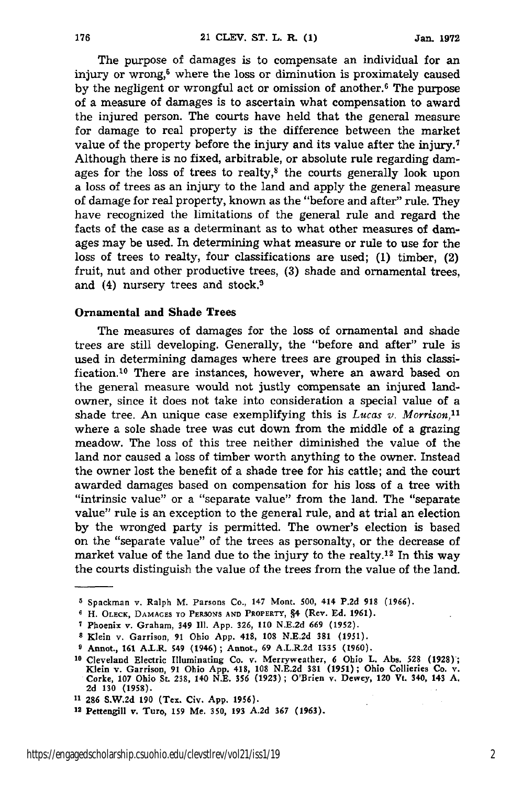The purpose of damages is to compensate an individual for an injury or wrong,<sup>5</sup> where the loss or diminution is proximately caused by the negligent or wrongful act or omission of another.<sup>6</sup> The purpose of a measure of damages is to ascertain what compensation to award the injured person. The courts have held that the general measure for damage to real property is the difference between the market value of the property before the injury and its value after the injury.7 Although there is no fixed, arbitrable, or absolute rule regarding damages for the loss of trees to realty, $8$  the courts generally look upon a loss of trees as an injury to the land and apply the general measure of damage for real property, known as the "before and after" rule. They have recognized the limitations of the general rule and regard the facts of the case as a determinant as to what other measures of damages may be used. In determining what measure or rule to use for the loss of trees to realty, four classifications are used; (1) timber, (2) fruit, nut and other productive trees, (3) shade and ornamental trees, and (4) nursery trees and stock.9

#### Ornamental and Shade Trees

The measures of damages for the loss of ornamental and shade trees are still developing. Generally, the "before and after" rule is used in determining damages where trees are grouped in this classification.<sup>10</sup> There are instances, however, where an award based on the general measure would not justly compensate an injured landowner, since it does not take into consideration a special value of a shade tree. An unique case exemplifying this is  $Lucas v.$  Morrison,<sup>11</sup> where a sole shade tree was cut down from the middle of a grazing meadow. The loss of this tree neither diminished the value of the land nor caused a loss of timber worth anything to the owner. Instead the owner lost the benefit of a shade tree for his cattle; and the court awarded damages based on compensation for his loss of a tree with "intrinsic value" or a "separate value" from the land. The "separate value" rule is an exception to the general rule, and at trial an election by the wronged party is permitted. The owner's election is based on the "separate value" of the trees as personalty, or the decrease of market value of the land due to the injury to the realty.<sup>12</sup> In this way the courts distinguish the value of the trees from the value of the land.

**Spackman v. Ralph M. Parsons Co., 147 Mont.** 500, 414 **P.2d 918 (1966).**

**H. OLECK, DAMAGES TO PERSONS AND PROPERTY,** §4 **(Rev. Ed. 1961).**

**<sup>7</sup> Phoenix v. Graham, 349 111. App. 326, 110 N.E.2d 669 (1952).**

**s Klein v. Garrison, 91 Ohio App.** 418, **108 N.E.2d** 381 **(1951).**

**Annot.,** 161 A.L.R. 549 (1946) **; Annot., 69** A.L.R.2d 1335 **(1960).**

**<sup>10</sup> Cleveland Electric Illuminating Co. v. Merryweather, 6 Ohio** L. **Abs. 528 (1928) Klein v. Garrison, 91 Ohio App.** 418, **108 N.E.2d 381 (1951); Ohio Collieries Co. v. Corke, 107 Ohio St. 238, 140 N.E. 356 (1923) ; O'Brien v. Dewey, 120 Vt. 340, 143 A. 2d 130 (1958).**

**<sup>11 286</sup> S.W.2d 190 (Tex. Civ. App. 1956).**

**<sup>12</sup> Pettengill v. Turo, 159 Me. 350, 193 A.2d 367 (1963).**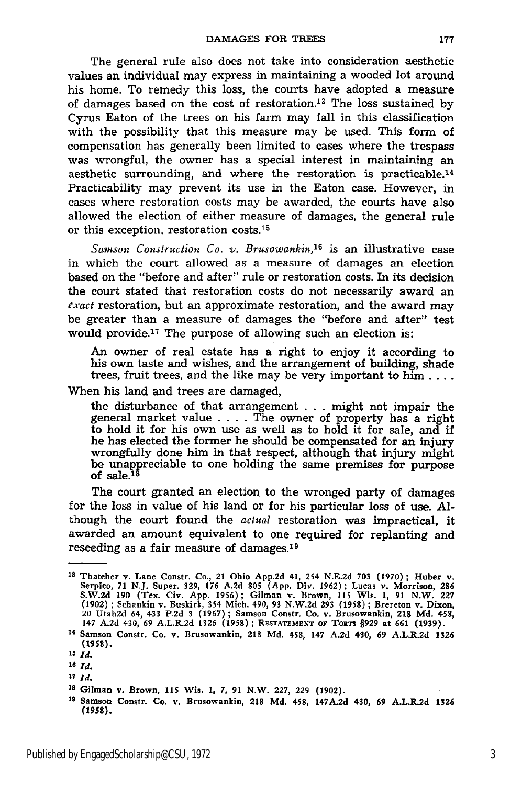The general rule also does not take into consideration aesthetic values an individual may express in maintaining a wooded lot around his home. To remedy this loss, the courts have adopted a measure of damages based on the cost of restoration.13 The loss sustained by Cyrus Eaton of the trees on his farm may fall in this classification with the possibility that this measure may be used. This form of compensation has generally been limited to cases where the trespass was wrongful, the owner has a special interest in maintaining an aesthetic surrounding, and where the restoration is practicable.14 Practicability may prevent its use in the Eaton case. However, in cases where restoration costs may be awarded, the courts have also allowed the election of either measure of damages, the general rule or this exception, restoration costs.15

*Samson Construction Co. v. Brusowankin,16* is an illustrative case in which the court allowed as a measure of damages an election based on the "before and after" rule or restoration costs. In its decision the court stated that restoration costs do not necessarily award an *exact* restoration, but an approximate restoration, and the award may be greater than a measure of damages the "before and after" test would provide.17 The purpose of allowing such an election is:

**An** owner of real estate has a right to enjoy it according to his own taste and wishes, and the arrangement of building, shade trees, fruit trees, and the like may be very important to him ....

When his land and trees are damaged,

the disturbance of that arrangement . . . might not impair the general market value .... The owner of property has a right to hold it for his own use as well as to hold it for sale, and if he has elected the former he should be compensated for an injury wrongfully done him in that respect, although that injury might be unappreciable to one holding the same premises for purpose of sale. $^{18}$ 

The court granted an election to the wronged party of damages for the loss in value of his land or for his particular loss of use. Although the court found the *actual* restoration was impractical, it awarded an amount equivalent to one required for replanting and reseeding as a fair measure of damages.<sup>19</sup>

- *26 Id.*
- **<sup>27</sup>***Id.*

**<sup>13</sup>**Thatcher v. Lane Constr. Co., 21 Ohio **App.2d** 41, 254 N.E.2d **703 (1970);** Huber v. Serpico, 71 N.J. Super. 329, 176 A.2d 805 (App. Div. 1962); Lucas v. Morrison, 286<br>S.W.2d 190 (Tex. Civ. App. 1956); Gilman v. Brown, 115 Wis. 1, 91 N.W. 227<br>(1902); Schankin v. Buskirk, 354 Mich. 490, 93 N.W.2d 293 (1958) 20 Utah2d 64, 433 **P.2d 3 (1967);** Samson Constr. Co. **v.** Brusowankin, 218 **Md.** 458, 147 **A.2d** 430, **69** A.L.R.2d **1326 (1958) ; RESTATEMENT oF TORTS §929** at **661 (1939).**

<sup>14</sup> Samson Constr. Co. **v.** Brusowankin, 218 **Md.** 458, 147 **A.2d** 430, **69** A.L.R.2d **1326 (1958).**

*<sup>15</sup> Id.*

**Is** Gilman v. Brown, **115** Wis. **1, 7, 91** N.W. **227, 229 (1902).**

**<sup>19</sup>**Samson Constr. Co. **v.** Brusowankin, 218 **Md.** 458, **147A.2d** 430, **69** A.L.R.2d **1326 (1958).**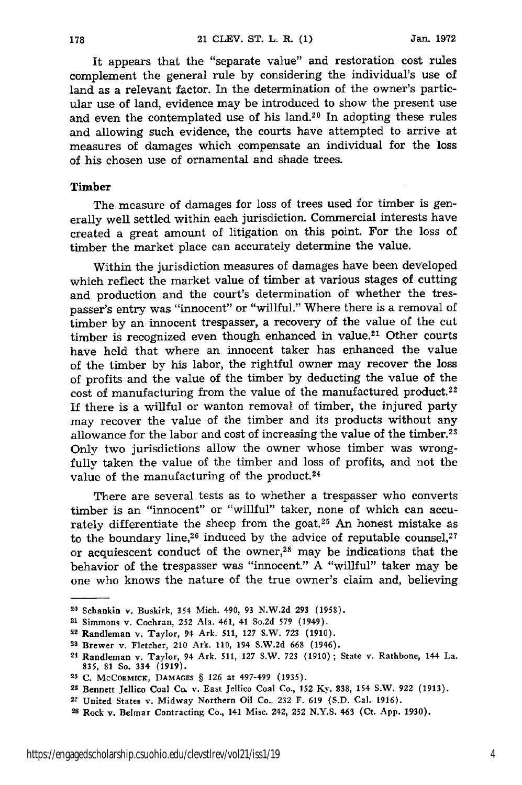It appears that the "separate value" and restoration cost rules complement the general rule by considering the individual's use of land as a relevant factor. In the determination of the owner's particular use of land, evidence may be introduced to show the present use and even the contemplated use of his land.<sup>20</sup> In adopting these rules and allowing such evidence, the courts have attempted to arrive at measures of damages which compensate an individual for the loss of his chosen use of ornamental and shade trees.

#### **Timber**

178

The measure of damages for loss of trees used for timber is generally well settled within each jurisdiction. Commercial interests have created a great amount of litigation on this point. For the loss of timber the market place can accurately determine the value.

Within the jurisdiction measures of damages have been developed which reflect the market value of timber at various stages of cutting and production and the court's determination of whether the trespasser's entry was "innocent" or "willful." Where there is a removal of timber by an innocent trespasser, a recovery of the value of the cut timber is recognized even though enhanced in value.<sup>21</sup> Other courts have held that where an innocent taker has enhanced the value of the timber by his labor, the rightful owner may recover the loss of profits and the value of the timber by deducting the value of the cost of manufacturing from the value of the manufactured product.<sup>22</sup> If there is a willful or wanton removal of timber, the injured party may recover the value of the timber and its products without any allowance for the labor and cost of increasing the value of the timber.<sup>23</sup> Only two jurisdictions allow the owner whose timber was wrongfully taken the value of the timber and loss of profits, and not the value of the manufacturing of the product.<sup>24</sup>

There are several tests as to whether a trespasser who converts timber is an "innocent" or "willful" taker, none of which can accurately differentiate the sheep from the goat.<sup>25</sup> An honest mistake as to the boundary line,<sup>26</sup> induced by the advice of reputable counsel, $27$ or acquiescent conduct of the owner,<sup>28</sup> may be indications that the behavior of the trespasser was "innocent." A "willful" taker may be one who knows the nature of the true owner's claim and, believing

**<sup>20</sup>**Schankin v. Buskirk, 354 Mich. 490, **93 N.W.2d 293 (1958).**

**<sup>21</sup>**Simmons v. Cochran, **252** Ala. 461, 41 So.2d **579** (1949).

**<sup>22</sup>**Randleman v. Taylor, 94 Ark. **511,** 127 S.W. *723* **(1910).**

**M2** Brewer v. Fletcher, 210 Ark. **110,** 194 **S.W.2d 668** (1946).

<sup>24</sup> Randleman v. Taylor, 94 Ark. **511, 127** S.W. **723** (1910) ; State v. Rathbone, 144 La. **835, 81** So. 334 **(1919).**

**<sup>25</sup> C.** McCoRMiCK, **DAMAGES** § **126** at 497-499 **(1935).**

**<sup>28</sup>**Bennett Jellico Coal Co. v. East Jellico Coal Co., 152 **Ky. 838,** 154 S.W. 922 **(1913).**

<sup>27</sup> United States v. Midway Northern Oil Co., 232 F. **619 (S.D.** Cal. **1916).**

**<sup>28</sup>**Rock v. Belmar Contracting Co., 141 Misc. 242, 252 **N.Y.S.** 463 (Ct. **App. 1930).**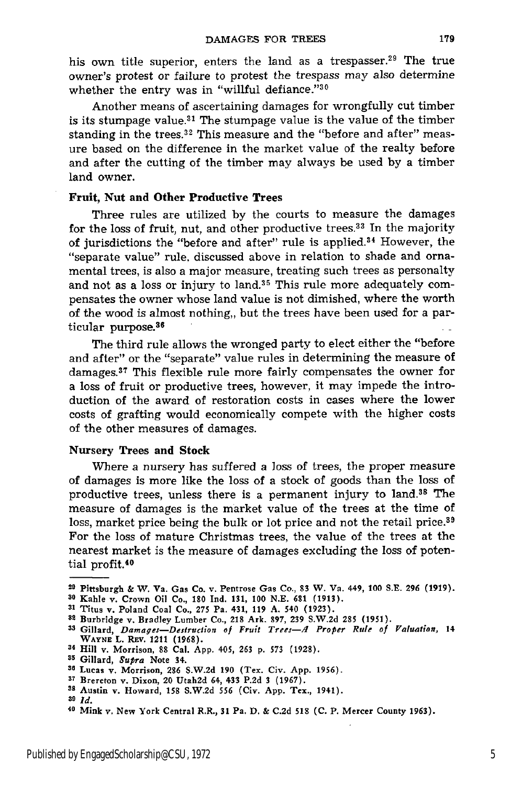his own title superior, enters the land as a trespasser.<sup>29</sup> The true owner's protest or failure to protest the trespass may also determine whether the entry was in "willful defiance."30

Another means of ascertaining damages for wrongfully cut timber is its stumpage value.<sup>31</sup> The stumpage value is the value of the timber standing in the trees.<sup>32</sup> This measure and the "before and after" measure based on the difference in the market value of the realty before and after the cutting of the timber may always be used by a timber land owner.

#### **Fruit, Nut and Other Productive Trees**

Three rules are utilized by the courts to measure the damages for the loss of fruit, nut, and other productive trees.<sup>33</sup> In the majority of jurisdictions the "before and after" rule is applied.<sup>34</sup> However, the "separate value" rule, discussed above in relation to shade and ornamental trees, is also a major measure, treating such trees as personalty and not as a loss or injury to land.<sup>35</sup> This rule more adequately compensates the owner whose land value is not dimished, where the worth of the wood is almost nothing,, but the trees have been used for a particular purpose.36

The third rule allows the wronged party to elect either the "before and after" or the "separate" value rules in determining the measure of damages.<sup>37</sup> This flexible rule more fairly compensates the owner for a loss of fruit or productive trees, however, it may impede the introduction of the award of restoration costs in cases where the lower costs of grafting would economically compete with the higher costs of the other measures of damages.

#### **Nursery Trees and Stock**

Where a nursery has suffered a loss of trees, the proper measure of damages is more like the loss of a stock of goods than the loss of productive trees, unless there is a permanent injury to land.38 The measure of damages is the market value of the trees at the time of loss, market price being the bulk or lot price and not the retail price.<sup>39</sup> For the loss of mature Christmas trees, the value of the trees at the nearest market is the measure of damages excluding the loss of potential profit.<sup>40</sup>

**<sup>29</sup>** Pittsburgh & W. Va. Gas Co. v. Pentrose Gas Co., **83** W. Va. **449, 100 S.E. 296 (1919).**

**s0** Kahle v. Crown Oil Co., **180 Ind. 131, 100 N.E. 681 (1913).**

**<sup>31</sup>** Titus v. Poland Coal Co., **275** Pa. 431, **119 A.** 540 **(1923).**

<sup>32</sup> Burbridge v. Bradley Lumber Co., **218** Ark. **897, 239 S.W.2d 285 (1951).**

**<sup>3</sup>** Gillard, *Damages-Destruction* **of** *Fruit Trees-.4 Proper Rufe of Valuation,* 14 **WAYNE L. REv. 1211 (1968).**

**<sup>&#</sup>x27;4 Hill v. Morrison, 88 Cal. App. 405, 263 p. 573 (1928).**

**<sup>5</sup> Gillard,** *Supra* Note 34.

**s0** Lucas v. Morrison, **286 S.W.2d 190** (Tex. Civ. **App. 1956).**

**s7** Brereton **v.** Dixon, 20 Utah2d 64, 433 **P.2d 3 (1967).**

**<sup>3</sup>s** Austin v. Howard, **158 S.W.2d 556** (Civ. **App.** Tex., 1941).

**<sup>39</sup>** *Id.*

**<sup>40</sup>** Mink **v.** New York Central R.R., **31** Pa. **D.** & **C.2d 518 (C.** P. Mercer County **1963).**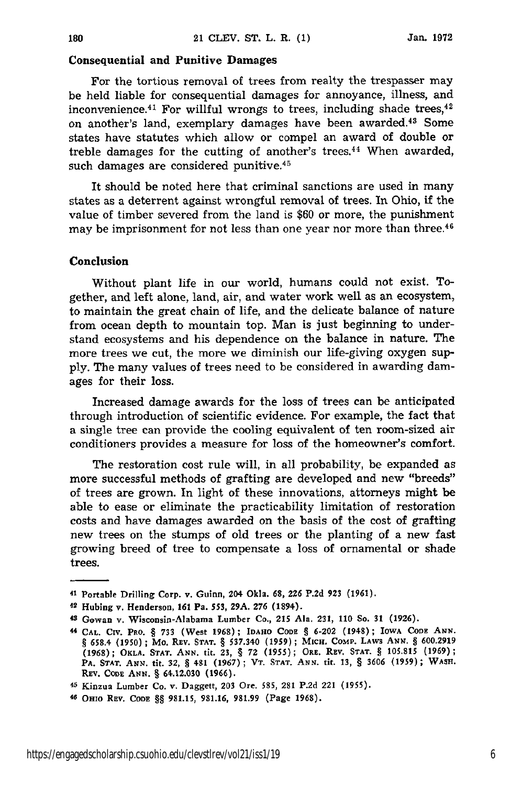#### **Consequential and Punitive Damages**

For the tortious removal of trees from realty the trespasser may be held liable for consequential damages for annoyance, illness, and inconvenience.<sup>41</sup> For willful wrongs to trees, including shade trees,<sup>42</sup> on another's land, exemplary damages have been awarded.43 Some states have statutes which allow or compel an award of double or treble damages for the cutting of another's trees.<sup>44</sup> When awarded, such damages are considered punitive.<sup>45</sup>

It should be noted here that criminal sanctions are used in many states as a deterrent against wrongful removal of trees. In Ohio, if the value of timber severed from the land is \$60 or more, the punishment may be imprisonment for not less than one year nor more than three.<sup>46</sup>

#### **Conclusion**

180

Without plant life in our world, humans could not exist. Together, and left alone, land, air, and water work well as an ecosystem, to maintain the great chain of life, and the delicate balance of nature from ocean depth to mountain top. Man is just beginning to understand ecosystems and his dependence on the balance in nature. The more trees we cut, the more we diminish our life-giving oxygen supply. The many values of trees need to be considered in awarding damages for their loss.

Increased damage awards for the loss of trees can be anticipated through introduction of scientific evidence. For example, the fact that a single tree can provide the cooling equivalent of ten room-sized air conditioners provides a measure for loss of the homeowner's comfort.

The restoration cost rule will, in all probability, be expanded as more successful methods of grafting are developed and new "breeds" of trees are grown. In light of these innovations, attorneys might be able to ease or eliminate the practicability limitation of restoration costs and have damages awarded on the basis of the cost of grafting new trees on the stumps of old trees or the planting of a new fast growing breed of tree to compensate a loss of ornamental or shade trees.

**<sup>41</sup>**Portable Drilling Corp. v. Guinn, 204 Okla. **68, 226 P.2d 923** (1961).

<sup>42</sup> Hubing v. Henderson, **161** Pa. 553, **29A. 276** (1894).

**<sup>43</sup>** Gowan **v.** Wisconsin-Alabama Lumber Co., **215** Ala. **231, 110** So. **31 (1926).**

**<sup>44</sup> CAL. CIV. PRO. § 733** (West 1968); **IDAHO CoDE §** 6-202 (1948); **IOWA CODE ANN. 9 658.4 (1950) ; Mo. REv. STAT. § 537.340 (1959); MicH. COMP. LAWS ANN. § 600.2919 (1968); OKLA. STAT. ANN. tit. 23, § 72 (1955); ORE. REV. STAT. § 105.815 (1969); PA. STAT.** *AsN.* **tit. 32, § 481 (1967)** ; **VT. STAT. ANN. tit. 13, §** 3606 **(1959); WASH. REV. ConE ANN. §** 64.12.030 **(1966).**

<sup>45</sup> Kinzua Lumber Co. v. Daggett, **203** Ore. **585, 281 P.2d** 221 **(1955).**

**<sup>46</sup> OHIO REV.** CODE **§§ 981.15, 981.16, 981.99 (Page 1968).**